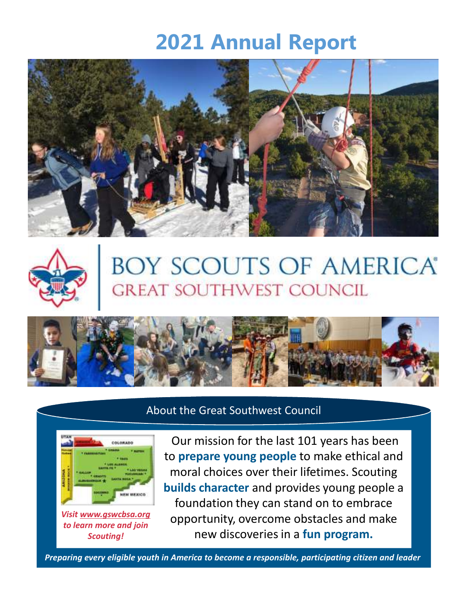# **2021 Annual Report**





# BOY SCOUTS OF AMERICA®<br>GREAT SOUTHWEST COUNCIL



#### About the Great Southwest Council



Our mission for the last 101 years has been to **prepare young people** to make ethical and moral choices over their lifetimes. Scouting **builds character** and provides young people a foundation they can stand on to embrace opportunity, overcome obstacles and make new discoveries in a **fun program.**

1 *Preparing every eligible youth in America to become a responsible, participating citizen and leader*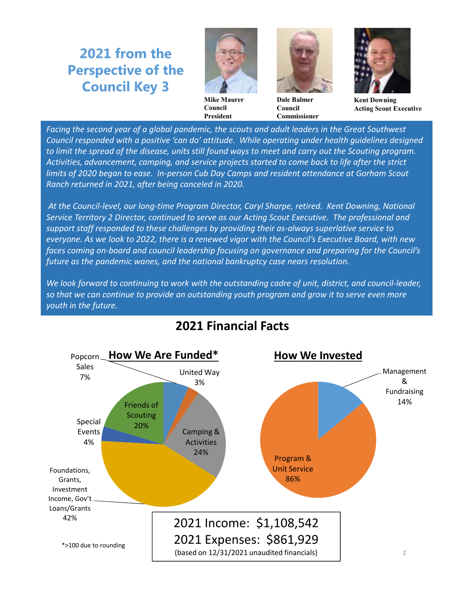## **2021 from the Perspective of the Council Key 3**



**Mike Maurer Council President**



**Dale Balmer Council Commissioner**



**Kent Downing Acting Scout Executive**

Facing the second year of a global pandemic, the scouts and adult leaders in the Great Southwest *Council responded with a positive 'can do' attitude. While operating under health guidelines designed to limit the spread of the disease, units still found ways to meet and carry out the Scouting program. Activities, advancement, camping, and service projects started to come back to life after the strict limits of 2020 began to ease. In-person Cub Day Camps and resident attendance at Gorham Scout Ranch returned in 2021, after being canceled in 2020.*

*At the Council-level, our long-time Program Director, Caryl Sharpe, retired. Kent Downing, National Service Territory 2 Director, continued to serve as our Acting Scout Executive. The professional and support staff responded to these challenges by providing their as-always superlative service to everyone. As we look to 2022, there is a renewed vigor with the Council's Executive Board, with new faces coming on-board and council leadership focusing on governance and preparing for the Council's future as the pandemic wanes, and the national bankruptcy case nears resolution.*

*We look forward to continuing to work with the outstanding cadre of unit, district, and council-leader, so that we can continue to provide an outstanding youth program and grow it to serve even more youth in the future.*



### **2021 Financial Facts**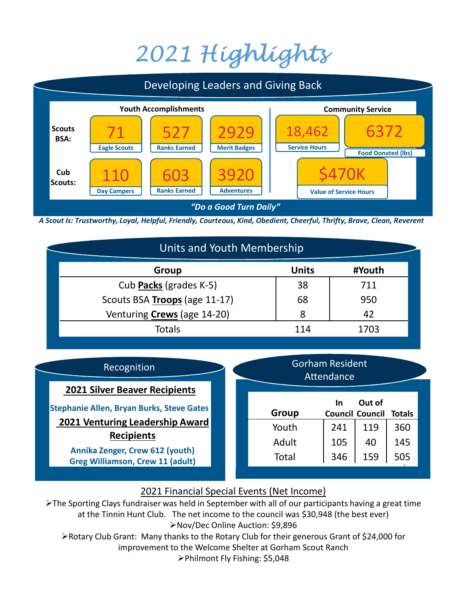# 2021 Highlights



*A Scout Is: Trustworthy, Loyal, Helpful, Friendly, Courteous, Kind, Obedient, Cheerful, Thrifty, Brave, Clean, Reverent*

| Units and Youth Membership         |              |        |  |  |
|------------------------------------|--------------|--------|--|--|
| Group                              | <b>Units</b> | #Youth |  |  |
| Cub Packs (grades K-5)             | 38           | 711    |  |  |
| Scouts BSA Troops (age 11-17)      | 68           | 950    |  |  |
| Venturing <b>Crews</b> (age 14-20) | 8            | 42     |  |  |
| <b>Totals</b>                      | 114          | 1703   |  |  |

#### Recognition

**2021 Silver Beaver Recipients**

**Stephanie Allen, Bryan Burks, Steve Gates 2021 Venturing Leadership Award Recipients**

> **Annika Zenger, Crew 612 (youth) Greg Williamson, Crew 11 (adult)**

| Group        | <u>In</u><br><b>Council Council</b> | Out of | <b>Totals</b> |
|--------------|-------------------------------------|--------|---------------|
| Youth        | 241                                 | 119    | 360           |
| Adult        | 105                                 | 40     | 145           |
| <b>Total</b> | 346                                 | 159    | 505           |

Gorham Resident **Attendance** 

#### 2021 Financial Special Events (Net Income)

> The Sporting Clays fundraiser was held in September with all of our participants having a great time at the Tinnin Hunt Club. The net income to the council was \$30,948 (the best ever) Nov/Dec Online Auction: \$9,896

Rotary Club Grant: Many thanks to the Rotary Club for their generous Grant of \$24,000 for improvement to the Welcome Shelter at Gorham Scout Ranch

Philmont Fly Fishing: \$5,048